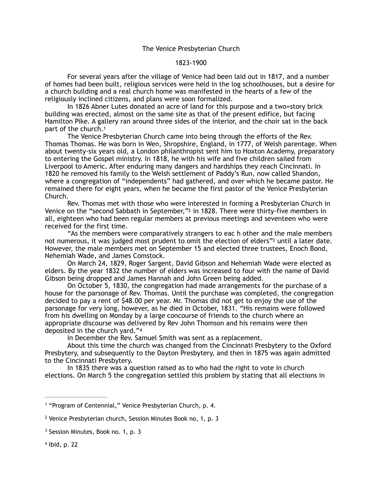## <span id="page-0-6"></span>1823-1900

 For several years after the village of Venice had been laid out in 1817, and a number of homes had been built, religious services were held in the log schoolhouses, but a desire for a church building and a real church home was manifested in the hearts of a few of the religiously inclined citizens, and plans were soon formalized.

 In 1826 Abner Lutes donated an acre of land for this purpose and a two=story brick building was erected, almost on the same site as that of the present edifice, but facing Hamilton Pike. A gallery ran around three sides of the interior, and the choir sat in the back part of the church[.1](#page-0-0)

<span id="page-0-4"></span> The Venice Presbyterian Church came into being through the efforts of the Rev. Thomas Thomas. He was born in Wen, Shropshire, England, in 1777, of Welsh parentage. When about twenty-six years old, a London philanthropist sent him to Hoxton Academy, preparatory to entering the Gospel ministry. In 1818, he with his wife and five children sailed from Liverpool to Americ. After enduring many dangers and hardships they reach Cincinnati. In 1820 he removed his family to the Welsh settlement of Paddy's Run, now called Shandon, where a congregation of "independents" had gathered, and over which he became pastor. He remained there for eight years, when he became the first pastor of the Venice Presbyterian Church.

<span id="page-0-5"></span> Rev. Thomas met with those who were interested in forming a Presbyterian Church in Venice on the ["](#page-0-1)second Sabbath in September,"<sup>[2](#page-0-1)</sup> in 1828. There were thirty-five members in all, eighteen who had been regular members at previous meetings and seventeen who were received for the first time.

 "As the members were comparatively strangers to eac h other and the male members not numerous, it was judged most prudent to omit the election of elders["](#page-0-2)<sup>[3](#page-0-2)</sup> until a later date. However, the male members met on September 15 and elected three trustees, Enoch Bond, Nehemiah Wade, and James Comstock.

 On March 24, 1829, Roger Sargent, David Gibson and Nehemiah Wade were elected as elders. By the year 1832 the number of elders was increased to four with the name of David Gibson being dropped and James Hannah and John Green being added.

 On October 5, 1830, the congregation had made arrangements for the purchase of a house for the parsonage of Rev. Thomas. Until the purchase was completed, the congregation decided to pay a rent of \$48.00 per year. Mr. Thomas did not get to enjoy the use of the parsonage for very long, however, as he died in October, 1831. "His remains were followed from his dwelling on Monday by a large concourse of friends to the church where an appropriate discourse was delivered by Rev John Thomson and his remains were then deposited in the church yard."[4](#page-0-3)

<span id="page-0-7"></span>In December the Rev. Samuel Smith was sent as a replacement.

 About this time the church was changed from the Cincinnati Presbytery to the Oxford Presbytery, and subsequently to the Dayton Presbytery, and then in 1875 was again admitted to the Cincinnati Presbytery.

 In 1835 there was a question raised as to who had the right to vote in church elections. On March 5 the congregation settled this problem by stating that all elections in

<span id="page-0-3"></span> $4$  Ibid, p. 22

<span id="page-0-0"></span><sup>&</sup>lt;sup>[1](#page-0-4)</sup> "Program of Centennial," Venice Presbyterian Church, p. 4.

<span id="page-0-1"></span><sup>&</sup>lt;sup>[2](#page-0-5)</sup> Venice Presbyterian church, Session Minutes Book no, 1, p. 3

<span id="page-0-2"></span><sup>&</sup>lt;sup>[3](#page-0-6)</sup> Session Minutes, Book no. 1, p. 3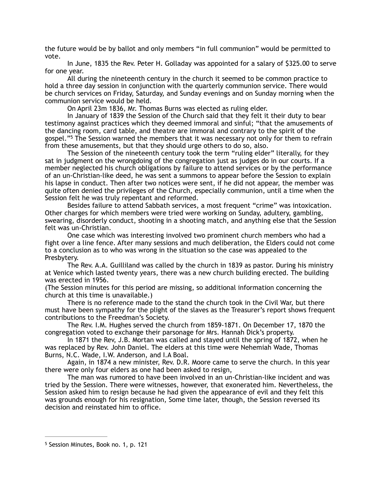the future would be by ballot and only members "in full communion" would be permitted to vote.

 In June, 1835 the Rev. Peter H. Golladay was appointed for a salary of \$325.00 to serve for one year.

 All during the nineteenth century in the church it seemed to be common practice to hold a three day session in conjunction with the quarterly communion service. There would be church services on Friday, Saturday, and Sunday evenings and on Sunday morning when the communion service would be held.

<span id="page-1-1"></span>On April 23m 1836, Mr. Thomas Burns was elected as ruling elder.

 In January of 1839 the Session of the Church said that they felt it their duty to bear testimony against practices which they deemed immoral and sinful; "that the amusements of the dancing room, card table, and theatre are immoral and contrary to the spirit of the gospel."<sup>[5](#page-1-0)</sup> The Session warned the members that it was necessary not only for them to refrain from these amusements, but that they should urge others to do so, also.

 The Session of the nineteenth century took the term "ruling elder" literally, for they sat in judgment on the wrongdoing of the congregation just as judges do in our courts. If a member neglected his church obligations by failure to attend services or by the performance of an un-Christian-like deed, he was sent a summons to appear before the Session to explain his lapse in conduct. Then after two notices were sent, if he did not appear, the member was quite often denied the privileges of the Church, especially communion, until a time when the Session felt he was truly repentant and reformed.

 Besides failure to attend Sabbath services, a most frequent "crime" was intoxication. Other charges for which members were tried were working on Sunday, adultery, gambling, swearing, disorderly conduct, shooting in a shooting match, and anything else that the Session felt was un-Christian.

 One case which was interesting involved two prominent church members who had a fight over a line fence. After many sessions and much deliberation, the Elders could not come to a conclusion as to who was wrong in the situation so the case was appealed to the Presbytery.

 The Rev. A.A. Guilliland was called by the church in 1839 as pastor. During his ministry at Venice which lasted twenty years, there was a new church building erected. The building was erected in 1956.

(The Session minutes for this period are missing, so additional information concerning the church at this time is unavailable.)

 There is no reference made to the stand the church took in the Civil War, but there must have been sympathy for the plight of the slaves as the Treasurer's report shows frequent contributions to the Freedman's Society.

 The Rev. I.M. Hughes served the church from 1859-1871. On December 17, 1870 the congregation voted to exchange their parsonage for Mrs. Hannah Dick's property.

 In 1871 the Rev, J.B. Mortan was called and stayed until the spring of 1872, when he was replaced by Rev. John Daniel. The elders at this time were Nehemiah Wade, Thomas Burns, N.C. Wade, I.W. Anderson, and I.A Boal.

 Again, in 1874 a new minister, Rev. D.R. Moore came to serve the church. In this year there were only four elders as one had been asked to resign,

 The man was rumored to have been involved in an un-Christian-like incident and was tried by the Session. There were witnesses, however, that exonerated him. Nevertheless, the Session asked him to resign because he had given the appearance of evil and they felt this was grounds enough for his resignation, Some time later, though, the Session reversed its decision and reinstated him to office.

<span id="page-1-0"></span><sup>&</sup>lt;sup>[5](#page-1-1)</sup> Session Minutes, Book no. 1, p. 121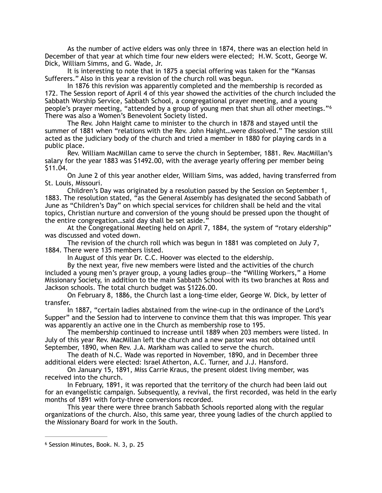As the number of active elders was only three in 1874, there was an election held in December of that year at which time four new elders were elected; H.W. Scott, George W. Dick, William Simms, and G. Wade, Jr.

 It is interesting to note that in 1875 a special offering was taken for the "Kansas Sufferers." Also in this year a revision of the church roll was begun.

 In 1876 this revision was apparently completed and the membership is recorded as 172. The Session report of April 4 of this year showed the activities of the church included the Sabbath Worship Service, Sabbath School, a congregational prayer meeting, and a young people's prayer meeting, "attended by a group of young men that shun all other meetings."[6](#page-2-0) There was also a Women's Benevolent Society listed.

<span id="page-2-1"></span> The Rev. John Haight came to minister to the church in 1878 and stayed until the summer of 1881 when "relations with the Rev. John Haight…were dissolved." The session still acted as the judiciary body of the church and tried a member in 1880 for playing cards in a public place.

 Rev. William MacMillan came to serve the church in September, 1881. Rev. MacMillan's salary for the year 1883 was \$1492.00, with the average yearly offering per member being \$11.04.

 On June 2 of this year another elder, William Sims, was added, having transferred from St. Louis, Missouri.

 Children's Day was originated by a resolution passed by the Session on September 1, 1883. The resolution stated, "as the General Assembly has designated the second Sabbath of June as "Children's Day" on which special services for children shall be held and the vital topics, Christian nurture and conversion of the young should be pressed upon the thought of the entire congregation…said day shall be set aside."

 At the Congregational Meeting held on April 7, 1884, the system of "rotary eldership" was discussed and voted down.

 The revision of the church roll which was begun in 1881 was completed on July 7, 1884. There were 135 members listed.

In August of this year Dr. C.C. Hoover was elected to the eldership.

 By the next year, five new members were listed and the activities of the church included a young men's prayer group, a young ladies group-the "Willing Workers," a Home Missionary Society, in addition to the main Sabbath School with its two branches at Ross and Jackson schools. The total church budget was \$1226.00.

 On February 8, 1886, the Church last a long-time elder, George W. Dick, by letter of transfer.

 In 1887, "certain ladies abstained from the wine-cup in the ordinance of the Lord's Supper" and the Session had to intervene to convince them that this was improper. This year was apparently an active one in the Church as membership rose to 195.

 The membership continued to increase until 1889 when 203 members were listed. In July of this year Rev. MacMillan left the church and a new pastor was not obtained until September, 1890, when Rev. J.A. Markham was called to serve the church.

 The death of N.C. Wade was reported in November, 1890, and in December three additional elders were elected: Israel Atherton, A.C. Turner, and J.J. Hansford.

 On January 15, 1891, Miss Carrie Kraus, the present oldest living member, was received into the church.

 In February, 1891, it was reported that the territory of the church had been laid out for an evangelistic campaign. Subsequently, a revival, the first recorded, was held in the early months of 1891 with forty-three conversions recorded.

 This year there were three branch Sabbath Schools reported along with the regular organizations of the church. Also, this same year, three young ladies of the church applied to the Missionary Board for work in the South.

<span id="page-2-0"></span><sup>&</sup>lt;sup>[6](#page-2-1)</sup> Session Minutes, Book. N. 3, p. 25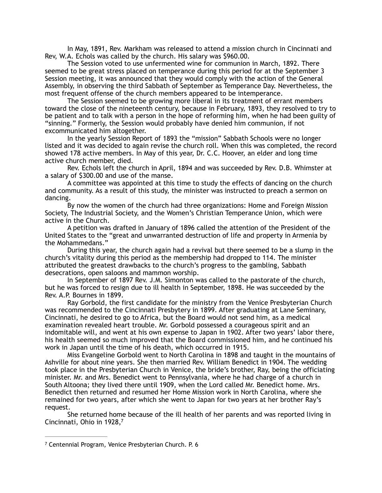In May, 1891, Rev. Markham was released to attend a mission church in Cincinnati and Rev, W.A. Echols was called by the church. His salary was \$960.00.

 The Session voted to use unfermented wine for communion in March, 1892. There seemed to be great stress placed on temperance during this period for at the September 3 Session meeting, it was announced that they would comply with the action of the General Assembly, in observing the third Sabbath of September as Temperance Day. Nevertheless, the most frequent offense of the church members appeared to be intemperance.

 The Session seemed to be growing more liberal in its treatment of errant members toward the close of the nineteenth century, because in February, 1893, they resolved to try to be patient and to talk with a person in the hope of reforming him, when he had been guilty of "sinning." Formerly, the Session would probably have denied him communion, if not excommunicated him altogether.

 In the yearly Session Report of 1893 the "mission" Sabbath Schools were no longer listed and it was decided to again revise the church roll. When this was completed, the record showed 178 active members. In May of this year, Dr. C.C. Hoover, an elder and long time active church member, died.

 Rev. Echols left the church in April, 1894 and was succeeded by Rev. D.B. Whimster at a salary of \$300.00 and use of the manse.

 A committee was appointed at this time to study the effects of dancing on the church and community. As a result of this study, the minister was instructed to preach a sermon on dancing.

 By now the women of the church had three organizations: Home and Foreign Mission Society, The Industrial Society, and the Women's Christian Temperance Union, which were active in the Church.

 A petition was drafted in January of 1896 called the attention of the President of the United States to the "great and unwarranted destruction of life and property in Armenia by the Mohammedans."

 During this year, the church again had a revival but there seemed to be a slump in the church's vitality during this period as the membership had dropped to 114. The minister attributed the greatest drawbacks to the church's progress to the gambling, Sabbath desecrations, open saloons and mammon worship.

 In September of 1897 Rev. J.M. Simonton was called to the pastorate of the church, but he was forced to resign due to ill health in September, 1898. He was succeeded by the Rev. A.P. Bournes in 1899.

 Ray Gorbold, the first candidate for the ministry from the Venice Presbyterian Church was recommended to the Cincinnati Presbytery in 1899. After graduating at Lane Seminary, Cincinnati, he desired to go to Africa, but the Board would not send him, as a medical examination revealed heart trouble. Mr. Gorbold possessed a courageous spirit and an indomitable will, and went at his own expense to Japan in 1902. After two years' labor there, his health seemed so much improved that the Board commissioned him, and he continued his work in Japan until the time of his death, which occurred in 1915.

 Miss Evangeline Gorbold went to North Carolina in 1898 and taught in the mountains of Ashville for about nine years. She then married Rev. William Benedict in 1904. The wedding took place in the Presbyterian Church in Venice, the bride's brother, Ray, being the officiating minister. Mr. and Mrs. Benedict went to Pennsylvania, where he had charge of a church in South Altoona; they lived there until 1909, when the Lord called Mr. Benedict home. Mrs. Benedict then returned and resumed her Home Mission work in North Carolina, where she remained for two years, after which she went to Japan for two years at her brother Ray's request.

<span id="page-3-1"></span> She returned home because of the ill health of her parents and was reported living in Cincinnati, Ohio in 1928[,7](#page-3-0)

<span id="page-3-0"></span><sup>&</sup>lt;sup>[7](#page-3-1)</sup> Centennial Program, Venice Presbyterian Church. P. 6